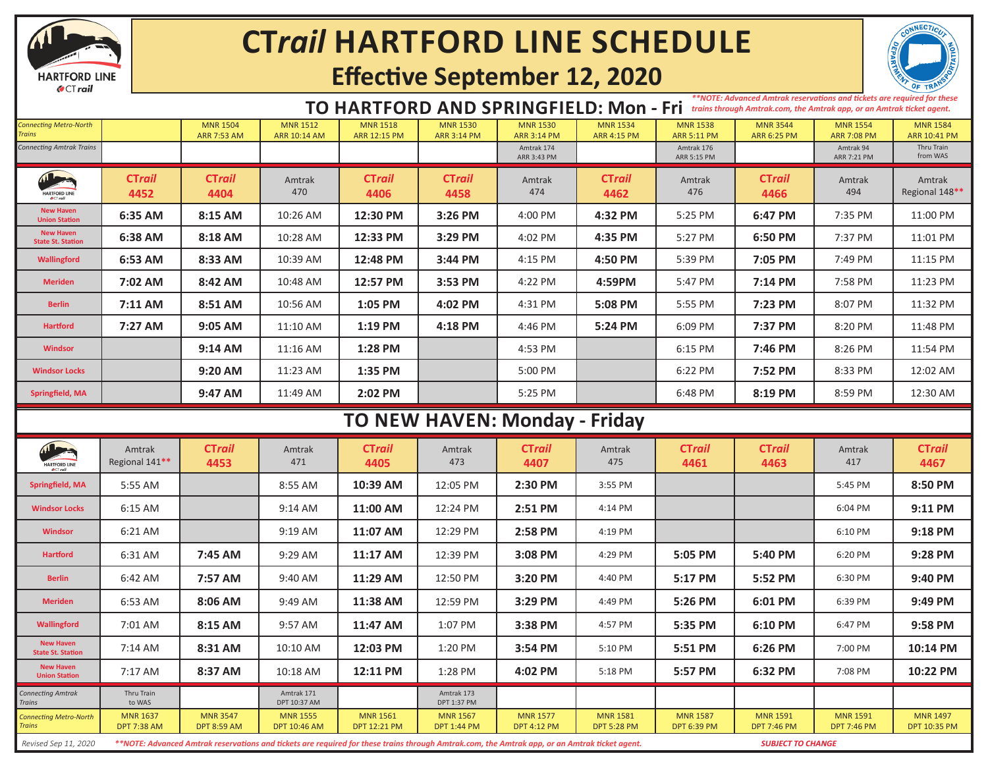

## **CT***rail* **HARTFORD LINE SCHEDULE**

## **Effective September 12, 2020**



#### **TO HARTFORD AND SPRINGFIELD: Mon - Fri** *trains through Amtrak.com, the Amtrak app, or an Amtrak ticket agent.*

*\*\*NOTE: Advanced Amtrak reservations and tickets are required for these* 

| <b>Connecting Metro-North</b><br><b>Trains</b> |                                       | <b>MNR 1504</b><br><b>ARR 7:53 AM</b> | <b>MNR 1512</b><br><b>ARR 10:14 AM</b> | <b>MNR 1518</b><br>ARR 12:15 PM        | <b>MNR 1530</b><br><b>ARR 3:14 PM</b> | <b>MNR 1530</b><br><b>ARR 3:14 PM</b> | <b>MNR 1534</b><br><b>ARR 4:15 PM</b> | <b>MNR 1538</b><br><b>ARR 5:11 PM</b> | <b>MNR 3544</b><br><b>ARR 6:25 PM</b> | <b>MNR 1554</b><br><b>ARR 7:08 PM</b> | <b>MNR 1584</b><br>ARR 10:41 PM |  |
|------------------------------------------------|---------------------------------------|---------------------------------------|----------------------------------------|----------------------------------------|---------------------------------------|---------------------------------------|---------------------------------------|---------------------------------------|---------------------------------------|---------------------------------------|---------------------------------|--|
| <b>Connecting Amtrak Trains</b>                |                                       |                                       |                                        |                                        |                                       | Amtrak 174<br>ARR 3:43 PM             |                                       | Amtrak 176<br>ARR 5:15 PM             |                                       | Amtrak 94<br>ARR 7:21 PM              | Thru Train<br>from WAS          |  |
| HARTFORD LINE                                  | <b>CTrail</b><br>4452                 | <b>CTrail</b><br>4404                 | Amtrak<br>470                          | <b>CTrail</b><br>4406                  | CTrail<br>4458                        | Amtrak<br>474                         | <b>CTrail</b><br>4462                 | Amtrak<br>476                         | <b>CTrail</b><br>4466                 | Amtrak<br>494                         | Amtrak<br>Regional 148**        |  |
| <b>New Haven</b><br><b>Union Station</b>       | 6:35 AM                               | 8:15 AM                               | 10:26 AM                               | 12:30 PM                               | 3:26 PM                               | 4:00 PM                               | 4:32 PM                               | 5:25 PM                               | 6:47 PM                               | 7:35 PM                               | 11:00 PM                        |  |
| <b>New Haven</b><br><b>State St. Station</b>   | 6:38 AM                               | 8:18 AM                               | 10:28 AM                               | 12:33 PM                               | 3:29 PM                               | 4:02 PM                               | 4:35 PM                               | 5:27 PM                               | 6:50 PM                               | 7:37 PM                               | 11:01 PM                        |  |
| <b>Wallingford</b>                             | 6:53 AM                               | 8:33 AM                               | 10:39 AM                               | 12:48 PM                               | 3:44 PM                               | 4:15 PM                               | 4:50 PM                               | 5:39 PM                               | 7:05 PM                               | 7:49 PM                               | 11:15 PM                        |  |
| <b>Meriden</b>                                 | 7:02 AM                               | 8:42 AM                               | 10:48 AM                               | 12:57 PM                               | 3:53 PM                               | 4:22 PM                               | 4:59PM                                | 5:47 PM                               | 7:14 PM                               | 7:58 PM                               | 11:23 PM                        |  |
| <b>Berlin</b>                                  | 7:11 AM                               | 8:51 AM                               | 10:56 AM                               | 1:05 PM                                | 4:02 PM                               | 4:31 PM                               | 5:08 PM                               | 5:55 PM                               | 7:23 PM                               | 8:07 PM                               | 11:32 PM                        |  |
| <b>Hartford</b>                                | 7:27 AM                               | 9:05 AM                               | 11:10 AM                               | 1:19 PM                                | 4:18 PM                               | 4:46 PM                               | 5:24 PM                               | 6:09 PM                               | 7:37 PM                               | 8:20 PM                               | 11:48 PM                        |  |
| <b>Windsor</b>                                 |                                       | 9:14 AM                               | 11:16 AM                               | 1:28 PM                                |                                       | 4:53 PM                               |                                       | 6:15 PM                               | 7:46 PM                               | 8:26 PM                               | 11:54 PM                        |  |
| <b>Windsor Locks</b>                           |                                       | 9:20 AM                               | 11:23 AM                               | 1:35 PM                                |                                       | 5:00 PM                               |                                       | 6:22 PM                               | 7:52 PM                               | 8:33 PM                               | 12:02 AM                        |  |
| Springfield, MA                                |                                       | 9:47 AM                               | 11:49 AM                               | 2:02 PM                                |                                       | 5:25 PM                               |                                       | 6:48 PM                               | 8:19 PM                               | 8:59 PM                               | 12:30 AM                        |  |
| TO NEW HAVEN: Monday - Friday                  |                                       |                                       |                                        |                                        |                                       |                                       |                                       |                                       |                                       |                                       |                                 |  |
|                                                |                                       |                                       |                                        |                                        |                                       |                                       |                                       |                                       |                                       |                                       |                                 |  |
| HARTFORD LINE                                  | Amtrak<br>Regional 141**              | <b>CTrail</b><br>4453                 | Amtrak<br>471                          | CTrail<br>4405                         | Amtrak<br>473                         | <b>CTrail</b><br>4407                 | Amtrak<br>475                         | <b>CTrail</b><br>4461                 | CTrail<br>4463                        | Amtrak<br>417                         | <b>CTrail</b><br>4467           |  |
| <b>Springfield, MA</b>                         | 5:55 AM                               |                                       | 8:55 AM                                | 10:39 AM                               | 12:05 PM                              | 2:30 PM                               | 3:55 PM                               |                                       |                                       | 5:45 PM                               | 8:50 PM                         |  |
| <b>Windsor Locks</b>                           | $6:15$ AM                             |                                       | $9:14$ AM                              | 11:00 AM                               | 12:24 PM                              | 2:51 PM                               | 4:14 PM                               |                                       |                                       | 6:04 PM                               | 9:11 PM                         |  |
| <b>Windsor</b>                                 | 6:21 AM                               |                                       | 9:19 AM                                | 11:07 AM                               | 12:29 PM                              | 2:58 PM                               | 4:19 PM                               |                                       |                                       | 6:10 PM                               | 9:18 PM                         |  |
| <b>Hartford</b>                                | 6:31 AM                               | 7:45 AM                               | 9:29 AM                                | 11:17 AM                               | 12:39 PM                              | 3:08 PM                               | 4:29 PM                               | 5:05 PM                               | 5:40 PM                               | 6:20 PM                               | 9:28 PM                         |  |
| <b>Berlin</b>                                  | 6:42 AM                               | 7:57 AM                               | 9:40 AM                                | 11:29 AM                               | 12:50 PM                              | 3:20 PM                               | 4:40 PM                               | 5:17 PM                               | 5:52 PM                               | 6:30 PM                               | 9:40 PM                         |  |
| <b>Meriden</b>                                 | 6:53 AM                               | 8:06 AM                               | 9:49 AM                                | 11:38 AM                               | 12:59 PM                              | 3:29 PM                               | 4:49 PM                               | 5:26 PM                               | 6:01 PM                               | 6:39 PM                               | 9:49 PM                         |  |
| <b>Wallingford</b>                             | 7:01 AM                               | 8:15 AM                               | 9:57 AM                                | 11:47 AM                               | 1:07 PM                               | 3:38 PM                               | 4:57 PM                               | 5:35 PM                               | 6:10 PM                               | 6:47 PM                               | 9:58 PM                         |  |
| <b>New Haven</b><br><b>State St. Station</b>   | 7:14 AM                               | 8:31 AM                               | 10:10 AM                               | 12:03 PM                               | 1:20 PM                               | 3:54 PM                               | 5:10 PM                               | 5:51 PM                               | 6:26 PM                               | 7:00 PM                               | 10:14 PM                        |  |
| <b>New Haven</b><br><b>Union Station</b>       | 7:17 AM                               | 8:37 AM                               | 10:18 AM                               | 12:11 PM                               | 1:28 PM                               | 4:02 PM                               | 5:18 PM                               | 5:57 PM                               | 6:32 PM                               | 7:08 PM                               | 10:22 PM                        |  |
| <b>Connecting Amtrak</b><br><b>Trains</b>      | Thru Train<br>to WAS                  |                                       | Amtrak 171<br>DPT 10:37 AM             |                                        | Amtrak 173<br>DPT 1:37 PM             |                                       |                                       |                                       |                                       |                                       |                                 |  |
| <b>Connecting Metro-North</b><br><b>Trains</b> | <b>MNR 1637</b><br><b>DPT 7:38 AM</b> | <b>MNR 3547</b><br><b>DPT 8:59 AM</b> | <b>MNR 1555</b><br><b>DPT 10:46 AM</b> | <b>MNR 1561</b><br><b>DPT 12:21 PM</b> | <b>MNR 1567</b><br><b>DPT 1:44 PM</b> | <b>MNR 1577</b><br><b>DPT 4:12 PM</b> | <b>MNR 1581</b><br><b>DPT 5:28 PM</b> | <b>MNR 1587</b><br><b>DPT 6:39 PM</b> | <b>MNR 1591</b><br><b>DPT 7:46 PM</b> | <b>MNR 1591</b><br><b>DPT 7:46 PM</b> | <b>MNR 1497</b><br>DPT 10:35 PM |  |